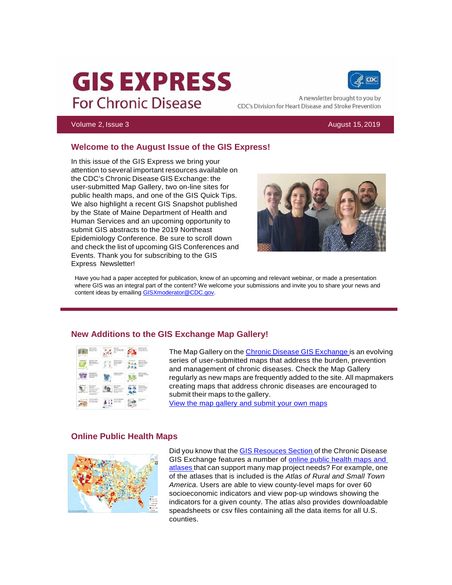# **GIS EXPRESS For Chronic Disease**



A newsletter brought to you by CDC's Division for Heart Disease and Stroke Prevention

#### Volume 2, Issue 3 August 15,2019

#### **Welcome to the August Issue of the GIS Express!**

In this issue of the GIS Express we bring your attention to several important resources available on the CDC's Chronic Disease GIS Exchange: the user-submitted Map Gallery, two on-line sites for public health maps, and one of the GIS Quick Tips. We also highlight a recent GIS Snapshot published by the State of Maine Department of Health and Human Services and an upcoming opportunity to submit GIS abstracts to the 2019 Northeast Epidemiology Conference. Be sure to scroll down and check the list of upcoming GIS Conferences and Events. Thank you for subscribing to the GIS Express Newsletter!



Have you had a paper accepted for publication, know of an upcoming and relevant webinar, or made a presentation where GIS was an integral part of the content? We welcome your submissions and invite you to share your news and content ideas by emailing [GISXmoderator@CDC.gov.](mailto:GISXmoderator@CDC.gov)

#### **New Additions to the GIS Exchange Map Gallery!**

| <b>Brake of Bride</b><br>With Sera<br>۰                                 |                                                                         | $\sim$           |
|-------------------------------------------------------------------------|-------------------------------------------------------------------------|------------------|
|                                                                         |                                                                         |                  |
| $\rightarrow$                                                           |                                                                         | <b>MARKETING</b> |
| <b>Section</b><br><br><b>Renauxiases</b><br><b>Kingdom Starter</b>      |                                                                         |                  |
| <b>Electric Action</b><br><b>MARINE COMMON</b><br><b>A Manager Mark</b> | <b><i><u>Grand Streets Some</u></i></b><br><b>Marketing</b><br>New Heel |                  |

The Map Gallery on the Chronic Disease GIS [Exchange](https://t.emailupdates.cdc.gov/r/?id=h21e201e%2C188aa6e%2C18ee78a) is an evolving series of user-submitted maps that address the burden, prevention and management of chronic diseases. Check the Map Gallery regularly as new maps are frequently added to the site. All mapmakers creating maps that address chronic diseases are encouraged to submit their maps to the gallery.

[View the map gallery and submit your own maps](https://t.emailupdates.cdc.gov/r/?id=h21e201e%2C188aa6e%2C18ee78b)

#### **Online Public Health Maps**



Did you know that the GIS [Resouces](https://t.emailupdates.cdc.gov/r/?id=h21e201e%2C188aa6e%2C18ee78c) Section of the Chronic Disease GIS Exchange features a number of [online public health maps and](https://t.emailupdates.cdc.gov/r/?id=h21e201e%2C188aa6e%2C18ee78d) [atlases](https://t.emailupdates.cdc.gov/r/?id=h21e201e%2C188aa6e%2C18ee78d) that can support many map project needs? For example, one of the atlases that is included is the *Atlas of Rural and Small Town America*. Users are able to view county-level maps for over 60 socioeconomic indicators and view pop-up windows showing the indicators for a given county. The atlas also provides downloadable speadsheets or csv files containing all the data items for all U.S. counties.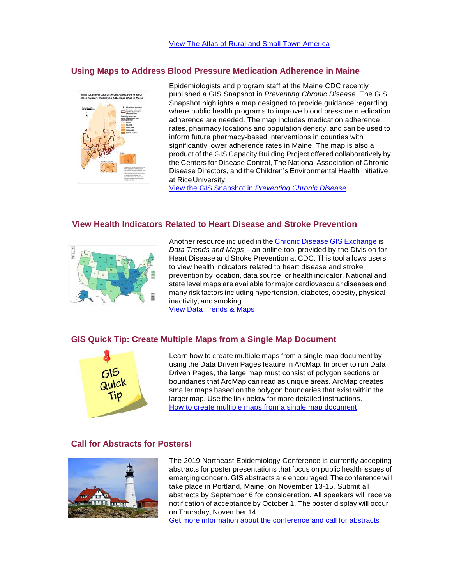#### **Using Maps to Address Blood Pressure Medication Adherence in Maine**



Epidemiologists and program staff at the Maine CDC recently published a GIS Snapshot in *Preventing Chronic Disease*. The GIS Snapshot highlights a map designed to provide guidance regarding where public health programs to improve blood pressure medication adherence are needed. The map includes medication adherence rates, pharmacy locations and population density, and can be used to inform future pharmacy-based interventions in counties with significantly lower adherence rates in Maine. The map is also a product of the GIS Capacity Building Project offered collaboratively by the Centers for Disease Control, The National Association of Chronic Disease Directors, and the Children's Environmental Health Initiative at RiceUniversity.

View the GIS Snapshot in *[Preventing Chronic Disease](https://t.emailupdates.cdc.gov/r/?id=h21e201e%2C188aa6e%2C18ee78f)*

#### **View Health Indicators Related to Heart Disease and Stroke Prevention**



Another resource included in the Chronic Disease GIS [Exchange](https://t.emailupdates.cdc.gov/r/?id=h21e201e%2C188aa6e%2C18ee790) is *Data Trends and Maps* – an online tool provided by the Division for Heart Disease and Stroke Prevention at CDC. This tool allows users to view health indicators related to heart disease and stroke prevention by location, data source, or health indicator. National and state level maps are available for major cardiovascular diseases and many risk factors including hypertension, diabetes, obesity, physical inactivity, and smoking.

[View Data Trends & Maps](https://t.emailupdates.cdc.gov/r/?id=h21e201e%2C188aa6e%2C18ee791)

#### **GIS Quick Tip: Create Multiple Maps from a Single Map Document**



Learn how to create multiple maps from a single map document by using the Data Driven Pages feature in ArcMap. In order to run Data Driven Pages, the large map must consist of polygon sections or boundaries that ArcMap can read as unique areas. ArcMap creates smaller maps based on the polygon boundaries that exist within the larger map. Use the link below for more detailed instructions. [How to create multiple maps from a single map document](https://t.emailupdates.cdc.gov/r/?id=h21e201e%2C188aa6e%2C18ee846)

#### **Call for Abstracts for Posters!**



The 2019 Northeast Epidemiology Conference is currently accepting abstracts for poster presentations that focus on public health issues of emerging concern. GIS abstracts are encouraged. The conference will take place in Portland, Maine, on November 13-15. Submit all abstracts by September 6 for consideration. All speakers will receive notification of acceptance by October 1. The poster display will occur on Thursday, November 14.

[Get more information about the conference and call for abstracts](https://t.emailupdates.cdc.gov/r/?id=h21e201e%2C188aa6e%2C18ee847)